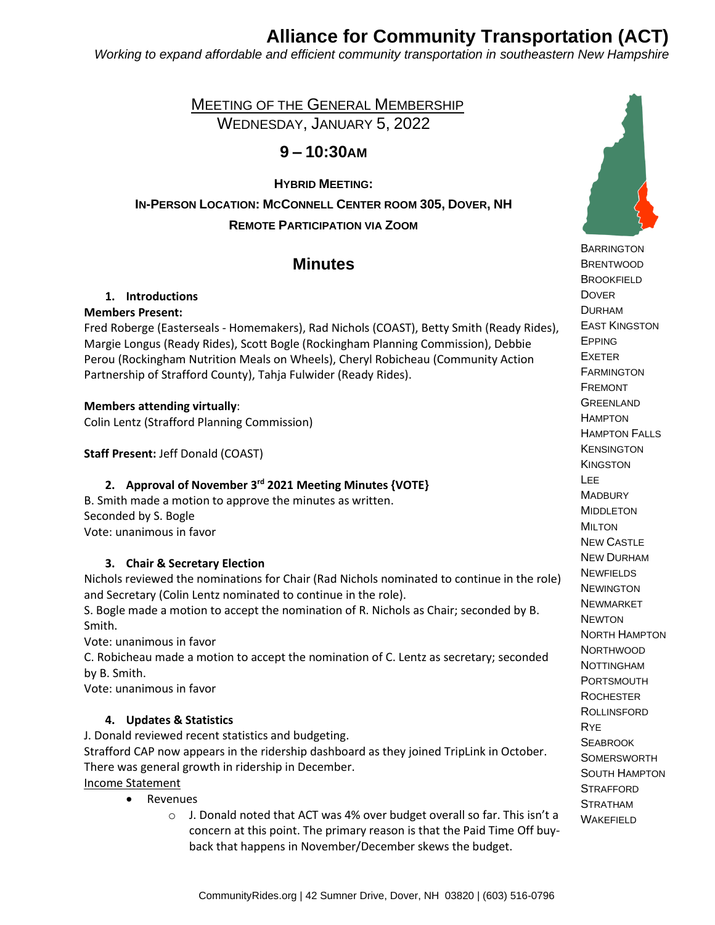# **Alliance for Community Transportation (ACT)**

*Working to expand affordable and efficient community transportation in southeastern New Hampshire*

 MEETING OF THE GENERAL MEMBERSHIP WEDNESDAY, JANUARY 5, 2022

# **9 – 10:30AM**

**HYBRID MEETING: IN-PERSON LOCATION: MCCONNELL CENTER ROOM 305, DOVER, NH REMOTE PARTICIPATION VIA ZOOM**

# **Minutes**

# **1. Introductions**

# **Members Present:**

Fred Roberge (Easterseals - Homemakers), Rad Nichols (COAST), Betty Smith (Ready Rides), Margie Longus (Ready Rides), Scott Bogle (Rockingham Planning Commission), Debbie Perou (Rockingham Nutrition Meals on Wheels), Cheryl Robicheau (Community Action Partnership of Strafford County), Tahja Fulwider (Ready Rides).

# **Members attending virtually**:

Colin Lentz (Strafford Planning Commission)

**Staff Present:** Jeff Donald (COAST)

# **2. Approval of November 3 rd 2021 Meeting Minutes {VOTE}**

B. Smith made a motion to approve the minutes as written. Seconded by S. Bogle Vote: unanimous in favor

# **3. Chair & Secretary Election**

Nichols reviewed the nominations for Chair (Rad Nichols nominated to continue in the role) and Secretary (Colin Lentz nominated to continue in the role).

S. Bogle made a motion to accept the nomination of R. Nichols as Chair; seconded by B. Smith.

Vote: unanimous in favor

C. Robicheau made a motion to accept the nomination of C. Lentz as secretary; seconded by B. Smith.

Vote: unanimous in favor

# **4. Updates & Statistics**

J. Donald reviewed recent statistics and budgeting. Strafford CAP now appears in the ridership dashboard as they joined TripLink in October. There was general growth in ridership in December. Income Statement

- Revenues
	- o J. Donald noted that ACT was 4% over budget overall so far. This isn't a concern at this point. The primary reason is that the Paid Time Off buyback that happens in November/December skews the budget.



**BARRINGTON**  BRENTWOOD **BROOKFIELD**  DOVER DURHAM EAST KINGSTON EPPING EXETER **FARMINGTON**  FREMONT **GREENLAND HAMPTON**  HAMPTON FALLS **KENSINGTON KINGSTON**  LEE **MADBURY**  MIDDLETON MILTON NEW CASTLE NEW DURHAM **NEWFIELDS NEWINGTON**  NEWMARKET **NEWTON**  NORTH HAMPTON **NORTHWOOD**  NOTTINGHAM PORTSMOUTH **ROCHESTER**  ROLLINSFORD RYE **SEABROOK**  SOMERSWORTH SOUTH HAMPTON **STRAFFORD**  STRATHAM **WAKEFIELD**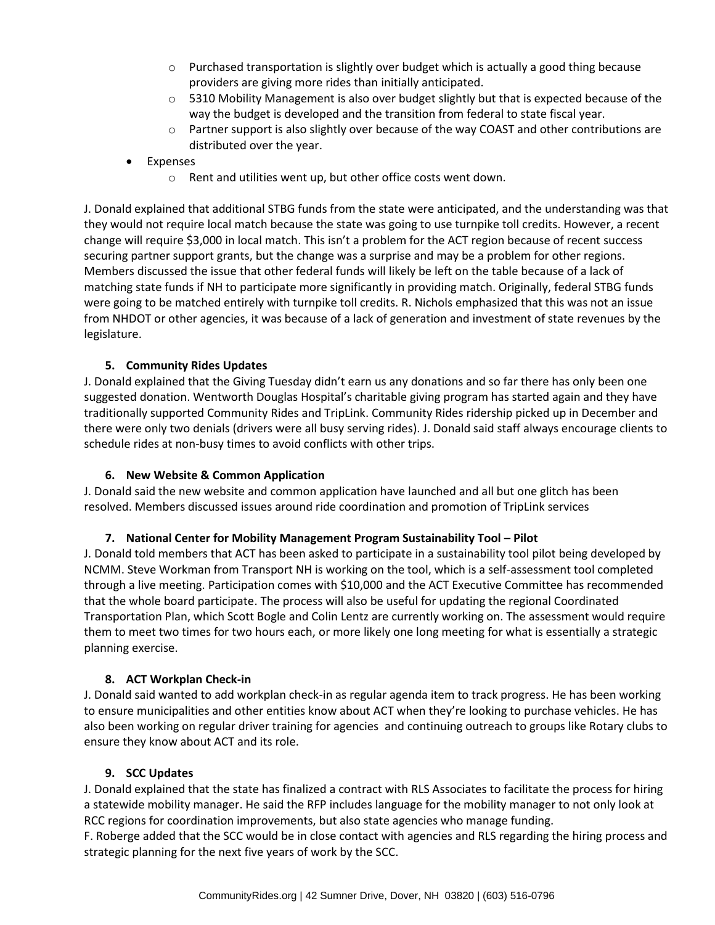- $\circ$  Purchased transportation is slightly over budget which is actually a good thing because providers are giving more rides than initially anticipated.
- $\circ$  5310 Mobility Management is also over budget slightly but that is expected because of the way the budget is developed and the transition from federal to state fiscal year.
- $\circ$  Partner support is also slightly over because of the way COAST and other contributions are distributed over the year.
- **Expenses** 
	- o Rent and utilities went up, but other office costs went down.

J. Donald explained that additional STBG funds from the state were anticipated, and the understanding was that they would not require local match because the state was going to use turnpike toll credits. However, a recent change will require \$3,000 in local match. This isn't a problem for the ACT region because of recent success securing partner support grants, but the change was a surprise and may be a problem for other regions. Members discussed the issue that other federal funds will likely be left on the table because of a lack of matching state funds if NH to participate more significantly in providing match. Originally, federal STBG funds were going to be matched entirely with turnpike toll credits. R. Nichols emphasized that this was not an issue from NHDOT or other agencies, it was because of a lack of generation and investment of state revenues by the legislature.

#### **5. Community Rides Updates**

J. Donald explained that the Giving Tuesday didn't earn us any donations and so far there has only been one suggested donation. Wentworth Douglas Hospital's charitable giving program has started again and they have traditionally supported Community Rides and TripLink. Community Rides ridership picked up in December and there were only two denials (drivers were all busy serving rides). J. Donald said staff always encourage clients to schedule rides at non-busy times to avoid conflicts with other trips.

#### **6. New Website & Common Application**

J. Donald said the new website and common application have launched and all but one glitch has been resolved. Members discussed issues around ride coordination and promotion of TripLink services

#### **7. National Center for Mobility Management Program Sustainability Tool – Pilot**

J. Donald told members that ACT has been asked to participate in a sustainability tool pilot being developed by NCMM. Steve Workman from Transport NH is working on the tool, which is a self-assessment tool completed through a live meeting. Participation comes with \$10,000 and the ACT Executive Committee has recommended that the whole board participate. The process will also be useful for updating the regional Coordinated Transportation Plan, which Scott Bogle and Colin Lentz are currently working on. The assessment would require them to meet two times for two hours each, or more likely one long meeting for what is essentially a strategic planning exercise.

#### **8. ACT Workplan Check-in**

J. Donald said wanted to add workplan check-in as regular agenda item to track progress. He has been working to ensure municipalities and other entities know about ACT when they're looking to purchase vehicles. He has also been working on regular driver training for agencies and continuing outreach to groups like Rotary clubs to ensure they know about ACT and its role.

#### **9. SCC Updates**

J. Donald explained that the state has finalized a contract with RLS Associates to facilitate the process for hiring a statewide mobility manager. He said the RFP includes language for the mobility manager to not only look at RCC regions for coordination improvements, but also state agencies who manage funding.

F. Roberge added that the SCC would be in close contact with agencies and RLS regarding the hiring process and strategic planning for the next five years of work by the SCC.